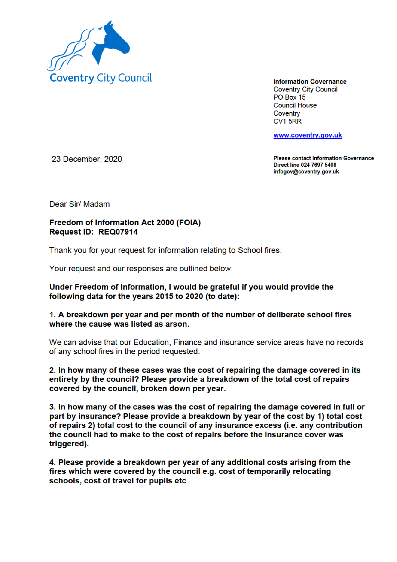

**Information Governance Coventry City Council** PO Box 15 **Council House** Coventry CV<sub>1</sub> 5RR

www.coventry.gov.uk

23 December, 2020

**Please contact Information Governance** Direct line 024 7697 5408 infogov@coventry.gov.uk

Dear Sir/ Madam

## **Freedom of Information Act 2000 (FOIA)** Request ID: REQ07914

Thank you for your request for information relating to School fires.

Your request and our responses are outlined below:

## Under Freedom of Information, I would be grateful if you would provide the following data for the years 2015 to 2020 (to date):

## 1. A breakdown per year and per month of the number of deliberate school fires where the cause was listed as arson.

We can advise that our Education, Finance and insurance service areas have no records of any school fires in the period requested.

2. In how many of these cases was the cost of repairing the damage covered in its entirety by the council? Please provide a breakdown of the total cost of repairs covered by the council, broken down per year.

3. In how many of the cases was the cost of repairing the damage covered in full or part by insurance? Please provide a breakdown by year of the cost by 1) total cost of repairs 2) total cost to the council of any insurance excess (i.e. any contribution the council had to make to the cost of repairs before the insurance cover was triggered).

4. Please provide a breakdown per year of any additional costs arising from the fires which were covered by the council e.g. cost of temporarily relocating schools, cost of travel for pupils etc